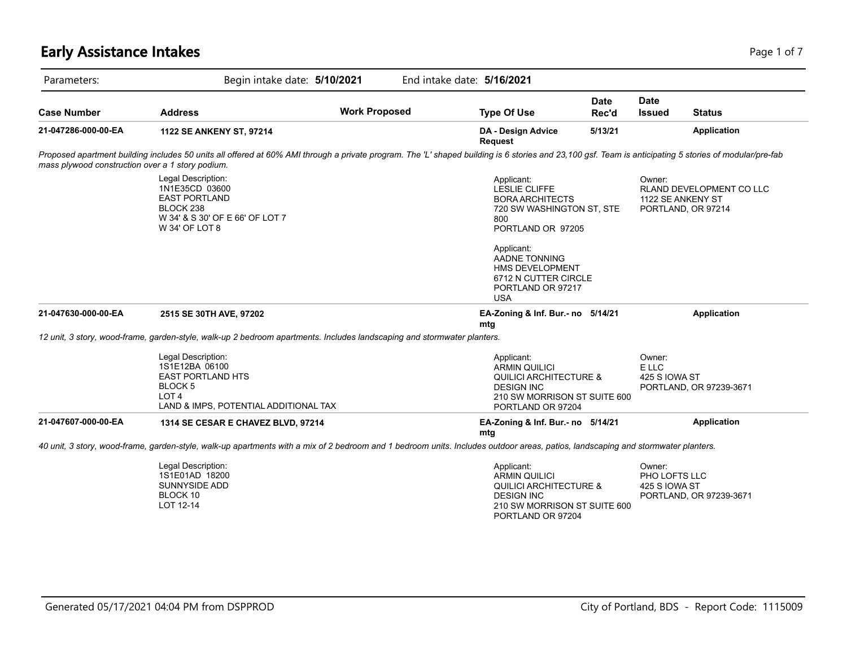# **Early Assistance Intakes** Page 1 of 7

| Parameters:                                      | Begin intake date: 5/10/2021<br>End intake date: 5/16/2021                                                                                                                                             |                      |                                                                                                                                                                                                                                                  |                      |                                          |                                                |  |
|--------------------------------------------------|--------------------------------------------------------------------------------------------------------------------------------------------------------------------------------------------------------|----------------------|--------------------------------------------------------------------------------------------------------------------------------------------------------------------------------------------------------------------------------------------------|----------------------|------------------------------------------|------------------------------------------------|--|
| <b>Case Number</b>                               | <b>Address</b>                                                                                                                                                                                         | <b>Work Proposed</b> | <b>Type Of Use</b>                                                                                                                                                                                                                               | <b>Date</b><br>Rec'd | <b>Date</b><br>Issued                    | <b>Status</b>                                  |  |
| 21-047286-000-00-EA                              | 1122 SE ANKENY ST, 97214                                                                                                                                                                               |                      | <b>DA - Design Advice</b><br>Request                                                                                                                                                                                                             | 5/13/21              |                                          | <b>Application</b>                             |  |
| mass plywood construction over a 1 story podium. | Proposed apartment building includes 50 units all offered at 60% AMI through a private program. The 'L' shaped building is 6 stories and 23,100 gsf. Team is anticipating 5 stories of modular/pre-fab |                      |                                                                                                                                                                                                                                                  |                      |                                          |                                                |  |
|                                                  | Legal Description:<br>1N1E35CD 03600<br><b>EAST PORTLAND</b><br>BLOCK <sub>238</sub><br>W 34' & S 30' OF E 66' OF LOT 7<br>W 34' OF LOT 8                                                              |                      | Applicant:<br><b>LESLIE CLIFFE</b><br><b>BORA ARCHITECTS</b><br>720 SW WASHINGTON ST, STE<br>800<br>PORTLAND OR 97205<br>Applicant:<br><b>AADNE TONNING</b><br><b>HMS DEVELOPMENT</b><br>6712 N CUTTER CIRCLE<br>PORTLAND OR 97217<br><b>USA</b> |                      | Owner:<br>1122 SE ANKENY ST              | RLAND DEVELOPMENT CO LLC<br>PORTLAND, OR 97214 |  |
| 21-047630-000-00-EA                              | 2515 SE 30TH AVE, 97202                                                                                                                                                                                |                      | EA-Zoning & Inf. Bur.- no 5/14/21<br>mtg                                                                                                                                                                                                         |                      |                                          | <b>Application</b>                             |  |
|                                                  | 12 unit, 3 story, wood-frame, garden-style, walk-up 2 bedroom apartments. Includes landscaping and stormwater planters.                                                                                |                      |                                                                                                                                                                                                                                                  |                      |                                          |                                                |  |
|                                                  | Legal Description:<br>1S1E12BA 06100<br><b>EAST PORTLAND HTS</b><br><b>BLOCK 5</b><br>LOT <sub>4</sub><br>LAND & IMPS, POTENTIAL ADDITIONAL TAX                                                        |                      | Applicant:<br><b>ARMIN QUILICI</b><br><b>QUILICI ARCHITECTURE &amp;</b><br><b>DESIGN INC</b><br>210 SW MORRISON ST SUITE 600<br>PORTLAND OR 97204                                                                                                |                      | Owner:<br>E LLC<br>425 S IOWA ST         | PORTLAND, OR 97239-3671                        |  |
| 21-047607-000-00-EA                              | 1314 SE CESAR E CHAVEZ BLVD, 97214                                                                                                                                                                     |                      | EA-Zoning & Inf. Bur.- no 5/14/21<br>mtg                                                                                                                                                                                                         |                      |                                          | <b>Application</b>                             |  |
|                                                  | 40 unit, 3 story, wood-frame, garden-style, walk-up apartments with a mix of 2 bedroom and 1 bedroom units. Includes outdoor areas, patios, landscaping and stormwater planters.                       |                      |                                                                                                                                                                                                                                                  |                      |                                          |                                                |  |
|                                                  | Legal Description:<br>1S1E01AD 18200<br>SUNNYSIDE ADD<br>BLOCK 10<br>LOT 12-14                                                                                                                         |                      | Applicant:<br><b>ARMIN QUILICI</b><br><b>QUILICI ARCHITECTURE &amp;</b><br><b>DESIGN INC</b><br>210 SW MORRISON ST SUITE 600<br>PORTLAND OR 97204                                                                                                |                      | Owner:<br>PHO LOFTS LLC<br>425 S IOWA ST | PORTLAND, OR 97239-3671                        |  |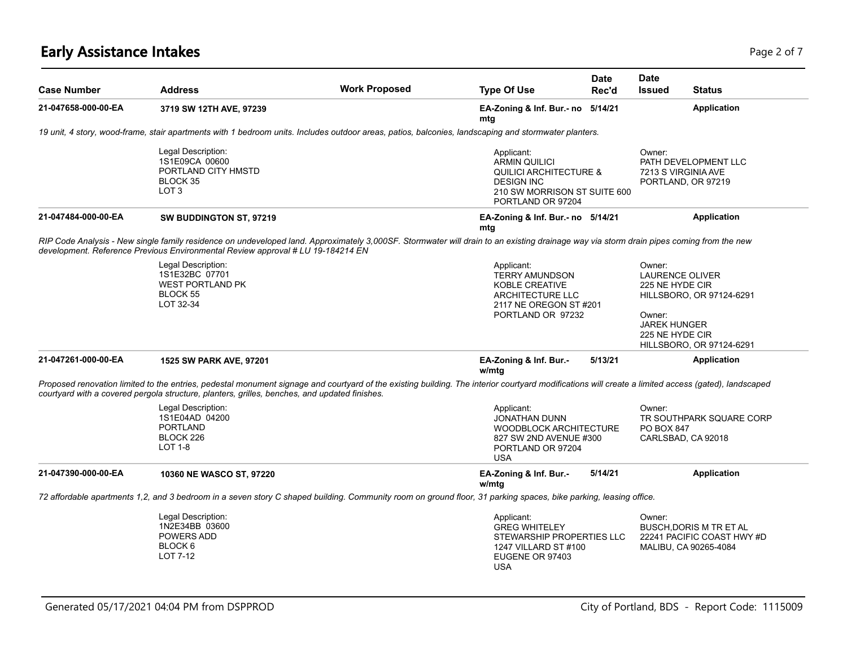# **Early Assistance Intakes** Page 2 of 7

| <b>Case Number</b>  | <b>Address</b>                                                                                                                                                                                                                                                                                       | <b>Work Proposed</b> | <b>Type Of Use</b>                                                                                                                                | <b>Date</b><br>Rec'd | <b>Date</b><br><b>Issued</b>                                                                            | <b>Status</b>                                                                        |
|---------------------|------------------------------------------------------------------------------------------------------------------------------------------------------------------------------------------------------------------------------------------------------------------------------------------------------|----------------------|---------------------------------------------------------------------------------------------------------------------------------------------------|----------------------|---------------------------------------------------------------------------------------------------------|--------------------------------------------------------------------------------------|
| 21-047658-000-00-EA | 3719 SW 12TH AVE, 97239                                                                                                                                                                                                                                                                              |                      | EA-Zoning & Inf. Bur.- no 5/14/21<br>mtg                                                                                                          |                      |                                                                                                         | <b>Application</b>                                                                   |
|                     | 19 unit, 4 story, wood-frame, stair apartments with 1 bedroom units. Includes outdoor areas, patios, balconies, landscaping and stormwater planters.                                                                                                                                                 |                      |                                                                                                                                                   |                      |                                                                                                         |                                                                                      |
|                     | Legal Description:<br>1S1E09CA 00600<br>PORTLAND CITY HMSTD<br>BLOCK 35<br>LOT <sub>3</sub>                                                                                                                                                                                                          |                      | Applicant:<br><b>ARMIN QUILICI</b><br><b>QUILICI ARCHITECTURE &amp;</b><br><b>DESIGN INC</b><br>210 SW MORRISON ST SUITE 600<br>PORTLAND OR 97204 |                      | Owner:                                                                                                  | PATH DEVELOPMENT LLC<br>7213 S VIRGINIA AVE<br>PORTLAND, OR 97219                    |
| 21-047484-000-00-EA | SW BUDDINGTON ST, 97219                                                                                                                                                                                                                                                                              |                      | EA-Zoning & Inf. Bur.- no 5/14/21<br>mtg                                                                                                          |                      |                                                                                                         | <b>Application</b>                                                                   |
|                     | RIP Code Analysis - New single family residence on undeveloped land. Approximately 3,000SF. Stormwater will drain to an existing drainage way via storm drain pipes coming from the new<br>development. Reference Previous Environmental Review approval # LU 19-184214 EN                           |                      |                                                                                                                                                   |                      |                                                                                                         |                                                                                      |
|                     | Legal Description:<br>1S1E32BC 07701<br><b>WEST PORTLAND PK</b><br>BLOCK 55<br>LOT 32-34                                                                                                                                                                                                             |                      | Applicant:<br><b>TERRY AMUNDSON</b><br><b>KOBLE CREATIVE</b><br>ARCHITECTURE LLC<br>2117 NE OREGON ST #201<br>PORTLAND OR 97232                   |                      | Owner:<br><b>LAURENCE OLIVER</b><br>225 NE HYDE CIR<br>Owner:<br><b>JAREK HUNGER</b><br>225 NE HYDE CIR | HILLSBORO, OR 97124-6291<br>HILLSBORO, OR 97124-6291                                 |
| 21-047261-000-00-EA | 1525 SW PARK AVE, 97201                                                                                                                                                                                                                                                                              |                      | EA-Zoning & Inf. Bur.-<br>w/mtg                                                                                                                   | 5/13/21              |                                                                                                         | <b>Application</b>                                                                   |
|                     | Proposed renovation limited to the entries, pedestal monument signage and courtyard of the existing building. The interior courtyard modifications will create a limited access (gated), landscaped<br>courtyard with a covered pergola structure, planters, grilles, benches, and updated finishes. |                      |                                                                                                                                                   |                      |                                                                                                         |                                                                                      |
|                     | Legal Description:<br>1S1E04AD 04200<br><b>PORTLAND</b><br>BLOCK 226<br><b>LOT 1-8</b>                                                                                                                                                                                                               |                      | Applicant:<br>JONATHAN DUNN<br><b>WOODBLOCK ARCHITECTURE</b><br>827 SW 2ND AVENUE #300<br>PORTLAND OR 97204<br><b>USA</b>                         |                      | Owner:<br>PO BOX 847                                                                                    | TR SOUTHPARK SQUARE CORP<br>CARLSBAD, CA 92018                                       |
| 21-047390-000-00-EA | 10360 NE WASCO ST, 97220                                                                                                                                                                                                                                                                             |                      | EA-Zoning & Inf. Bur.-<br>w/mtg                                                                                                                   | 5/14/21              |                                                                                                         | <b>Application</b>                                                                   |
|                     | 72 affordable apartments 1,2, and 3 bedroom in a seven story C shaped building. Community room on ground floor, 31 parking spaces, bike parking, leasing office.                                                                                                                                     |                      |                                                                                                                                                   |                      |                                                                                                         |                                                                                      |
|                     | Legal Description:<br>1N2E34BB 03600<br>POWERS ADD<br>BLOCK <sub>6</sub><br>LOT 7-12                                                                                                                                                                                                                 |                      | Applicant:<br><b>GREG WHITELEY</b><br>STEWARSHIP PROPERTIES LLC<br>1247 VILLARD ST #100<br>EUGENE OR 97403<br><b>USA</b>                          |                      | Owner:                                                                                                  | <b>BUSCH.DORIS M TR ET AL</b><br>22241 PACIFIC COAST HWY #D<br>MALIBU, CA 90265-4084 |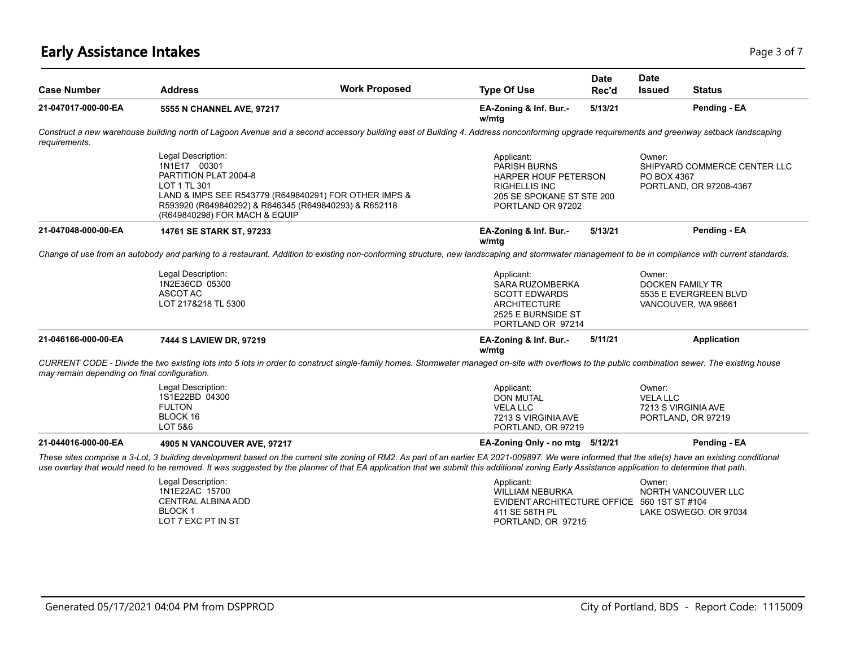# **Early Assistance Intakes** Page 1 of 7 and 2012 12:00 Page 1 of 7 and 2012 12:00 Page 3 of 7

| <b>Case Number</b>                           | <b>Address</b>                                                                                                                                                                                                                                                                                                                                                                                     | <b>Work Proposed</b> | <b>Type Of Use</b>                                                                                                                  | Date<br>Rec'd | <b>Date</b><br><b>Issued</b> | <b>Status</b>                                                           |
|----------------------------------------------|----------------------------------------------------------------------------------------------------------------------------------------------------------------------------------------------------------------------------------------------------------------------------------------------------------------------------------------------------------------------------------------------------|----------------------|-------------------------------------------------------------------------------------------------------------------------------------|---------------|------------------------------|-------------------------------------------------------------------------|
| 21-047017-000-00-EA                          | 5555 N CHANNEL AVE, 97217                                                                                                                                                                                                                                                                                                                                                                          |                      | EA-Zoning & Inf. Bur.-<br>w/mtg                                                                                                     | 5/13/21       |                              | Pending - EA                                                            |
| requirements.                                | Construct a new warehouse building north of Lagoon Avenue and a second accessory building east of Building 4. Address nonconforming upgrade requirements and greenway setback landscaping                                                                                                                                                                                                          |                      |                                                                                                                                     |               |                              |                                                                         |
|                                              | Legal Description:<br>1N1E17 00301<br>PARTITION PLAT 2004-8<br>LOT 1 TL 301<br>LAND & IMPS SEE R543779 (R649840291) FOR OTHER IMPS &<br>R593920 (R649840292) & R646345 (R649840293) & R652118<br>(R649840298) FOR MACH & EQUIP                                                                                                                                                                     |                      | Applicant:<br>PARISH BURNS<br><b>HARPER HOUF PETERSON</b><br><b>RIGHELLIS INC</b><br>205 SE SPOKANE ST STE 200<br>PORTLAND OR 97202 |               | Owner:<br>PO BOX 4367        | SHIPYARD COMMERCE CENTER LLC<br>PORTLAND, OR 97208-4367                 |
| 21-047048-000-00-EA                          | 14761 SE STARK ST, 97233                                                                                                                                                                                                                                                                                                                                                                           |                      | EA-Zoning & Inf. Bur.-<br>w/mtg                                                                                                     | 5/13/21       |                              | Pending - EA                                                            |
|                                              | Change of use from an autobody and parking to a restaurant. Addition to existing non-conforming structure, new landscaping and stormwater management to be in compliance with current standards.                                                                                                                                                                                                   |                      |                                                                                                                                     |               |                              |                                                                         |
|                                              | Legal Description:<br>1N2E36CD 05300<br>ASCOT AC<br>LOT 217&218 TL 5300                                                                                                                                                                                                                                                                                                                            |                      | Applicant:<br>SARA RUZOMBERKA<br><b>SCOTT EDWARDS</b><br><b>ARCHITECTURE</b><br>2525 E BURNSIDE ST<br>PORTLAND OR 97214             |               | Owner:                       | <b>DOCKEN FAMILY TR</b><br>5535 E EVERGREEN BLVD<br>VANCOUVER, WA 98661 |
| 21-046166-000-00-EA                          | 7444 S LAVIEW DR, 97219                                                                                                                                                                                                                                                                                                                                                                            |                      | EA-Zoning & Inf. Bur.-<br>w/mtg                                                                                                     | 5/11/21       |                              | Application                                                             |
| may remain depending on final configuration. | CURRENT CODE - Divide the two existing lots into 5 lots in order to construct single-family homes. Stormwater managed on-site with overflows to the public combination sewer. The existing house                                                                                                                                                                                                   |                      |                                                                                                                                     |               |                              |                                                                         |
|                                              | Legal Description:<br>1S1E22BD 04300<br><b>FULTON</b><br>BLOCK 16<br>LOT 5&6                                                                                                                                                                                                                                                                                                                       |                      | Applicant:<br><b>DON MUTAL</b><br><b>VELA LLC</b><br>7213 S VIRGINIA AVE<br>PORTLAND, OR 97219                                      |               | Owner:<br><b>VELA LLC</b>    | 7213 S VIRGINIA AVE<br>PORTLAND, OR 97219                               |
| 21-044016-000-00-EA                          | 4905 N VANCOUVER AVE, 97217                                                                                                                                                                                                                                                                                                                                                                        |                      | EA-Zoning Only - no mtg 5/12/21                                                                                                     |               |                              | Pending - EA                                                            |
|                                              | These sites comprise a 3-Lot, 3 building development based on the current site zoning of RM2. As part of an earlier EA 2021-009897. We were informed that the site(s) have an existing conditional<br>use overlay that would need to be removed. It was suggested by the planner of that EA application that we submit this additional zoning Early Assistance application to determine that path. |                      |                                                                                                                                     |               |                              |                                                                         |
|                                              | Legal Description:<br>1N1E22AC 15700<br><b>CENTRAL ALBINA ADD</b><br><b>BLOCK 1</b><br>LOT 7 EXC PT IN ST                                                                                                                                                                                                                                                                                          |                      | Applicant:<br><b>WILLIAM NEBURKA</b><br>EVIDENT ARCHITECTURE OFFICE 560 1ST ST #104<br>411 SE 58TH PL<br>PORTLAND, OR 97215         |               | Owner:                       | NORTH VANCOUVER LLC<br>LAKE OSWEGO, OR 97034                            |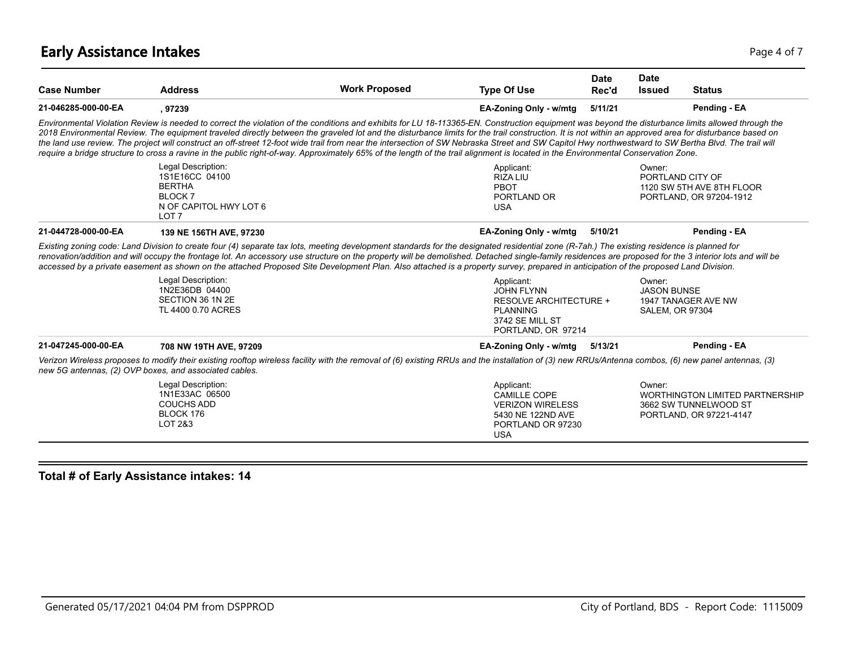# **Early Assistance Intakes** Page 4 of 7

| <b>Case Number</b>  | <b>Address</b>                                                                                                        | <b>Work Proposed</b>                                                                                                                                                                                                                                                                                                                                                                                                                                                                                                                                                                                                                                                                                                                                                                                      | <b>Type Of Use</b>                                                                                                   | <b>Date</b><br>Rec'd | <b>Date</b><br><b>Issued</b> | <b>Status</b>                                                                              |
|---------------------|-----------------------------------------------------------------------------------------------------------------------|-----------------------------------------------------------------------------------------------------------------------------------------------------------------------------------------------------------------------------------------------------------------------------------------------------------------------------------------------------------------------------------------------------------------------------------------------------------------------------------------------------------------------------------------------------------------------------------------------------------------------------------------------------------------------------------------------------------------------------------------------------------------------------------------------------------|----------------------------------------------------------------------------------------------------------------------|----------------------|------------------------------|--------------------------------------------------------------------------------------------|
| 21-046285-000-00-EA | , 97239                                                                                                               |                                                                                                                                                                                                                                                                                                                                                                                                                                                                                                                                                                                                                                                                                                                                                                                                           | EA-Zoning Only - w/mtg                                                                                               | 5/11/21              |                              | Pending - EA                                                                               |
|                     |                                                                                                                       | Environmental Violation Review is needed to correct the violation of the conditions and exhibits for LU 18-113365-EN. Construction equipment was beyond the disturbance limits allowed through the<br>2018 Environmental Review. The equipment traveled directly between the graveled lot and the disturbance limits for the trail construction. It is not within an approved area for disturbance based on<br>the land use review. The project will construct an off-street 12-foot wide trail from near the intersection of SW Nebraska Street and SW Capitol Hwy northwestward to SW Bertha Blvd. The trail will<br>require a bridge structure to cross a ravine in the public right-of-way. Approximately 65% of the length of the trail alignment is located in the Environmental Conservation Zone. |                                                                                                                      |                      |                              |                                                                                            |
|                     | Legal Description:<br>1S1E16CC 04100<br><b>BERTHA</b><br><b>BLOCK 7</b><br>N OF CAPITOL HWY LOT 6<br>LOT <sub>7</sub> |                                                                                                                                                                                                                                                                                                                                                                                                                                                                                                                                                                                                                                                                                                                                                                                                           | Applicant:<br><b>RIZALIU</b><br>PBOT<br>PORTLAND OR<br><b>USA</b>                                                    |                      | Owner:<br>PORTLAND CITY OF   | 1120 SW 5TH AVE 8TH FLOOR<br>PORTLAND, OR 97204-1912                                       |
| 21-044728-000-00-EA | 139 NE 156TH AVE, 97230                                                                                               |                                                                                                                                                                                                                                                                                                                                                                                                                                                                                                                                                                                                                                                                                                                                                                                                           | EA-Zoning Only - w/mtg                                                                                               | 5/10/21              |                              | Pending - EA                                                                               |
|                     | Legal Description:<br>1N2E36DB 04400<br>SECTION 36 1N 2E                                                              | Existing zoning code: Land Division to create four (4) separate tax lots, meeting development standards for the designated residential zone (R-7ah.) The existing residence is planned for<br>renovation/addition and will occupy the frontage lot. An accessory use structure on the property will be demolished. Detached single-family residences are proposed for the 3 interior lots and will be<br>accessed by a private easement as shown on the attached Proposed Site Development Plan. Also attached is a property survey, prepared in anticipation of the proposed Land Division.                                                                                                                                                                                                              | Applicant:<br><b>JOHN FLYNN</b><br><b>RESOLVE ARCHITECTURE +</b>                                                     |                      | Owner:<br><b>JASON BUNSE</b> | 1947 TANAGER AVE NW                                                                        |
|                     | TL 4400 0.70 ACRES                                                                                                    |                                                                                                                                                                                                                                                                                                                                                                                                                                                                                                                                                                                                                                                                                                                                                                                                           | <b>PLANNING</b><br>3742 SE MILL ST<br>PORTLAND, OR 97214                                                             |                      | <b>SALEM, OR 97304</b>       |                                                                                            |
| 21-047245-000-00-EA | 708 NW 19TH AVE, 97209                                                                                                |                                                                                                                                                                                                                                                                                                                                                                                                                                                                                                                                                                                                                                                                                                                                                                                                           | EA-Zoning Only - w/mtg                                                                                               | 5/13/21              |                              | Pending - EA                                                                               |
|                     | new 5G antennas, (2) OVP boxes, and associated cables.                                                                | Verizon Wireless proposes to modify their existing rooftop wireless facility with the removal of (6) existing RRUs and the installation of (3) new RRUs/Antenna combos, (6) new panel antennas, (3)                                                                                                                                                                                                                                                                                                                                                                                                                                                                                                                                                                                                       |                                                                                                                      |                      |                              |                                                                                            |
|                     | Legal Description:<br>1N1E33AC 06500<br><b>COUCHS ADD</b><br>BLOCK 176<br>LOT 2&3                                     |                                                                                                                                                                                                                                                                                                                                                                                                                                                                                                                                                                                                                                                                                                                                                                                                           | Applicant:<br><b>CAMILLE COPE</b><br><b>VERIZON WIRELESS</b><br>5430 NE 122ND AVE<br>PORTLAND OR 97230<br><b>USA</b> |                      | Owner:                       | <b>WORTHINGTON LIMITED PARTNERSHIP</b><br>3662 SW TUNNELWOOD ST<br>PORTLAND, OR 97221-4147 |

### **Total # of Early Assistance intakes: 14**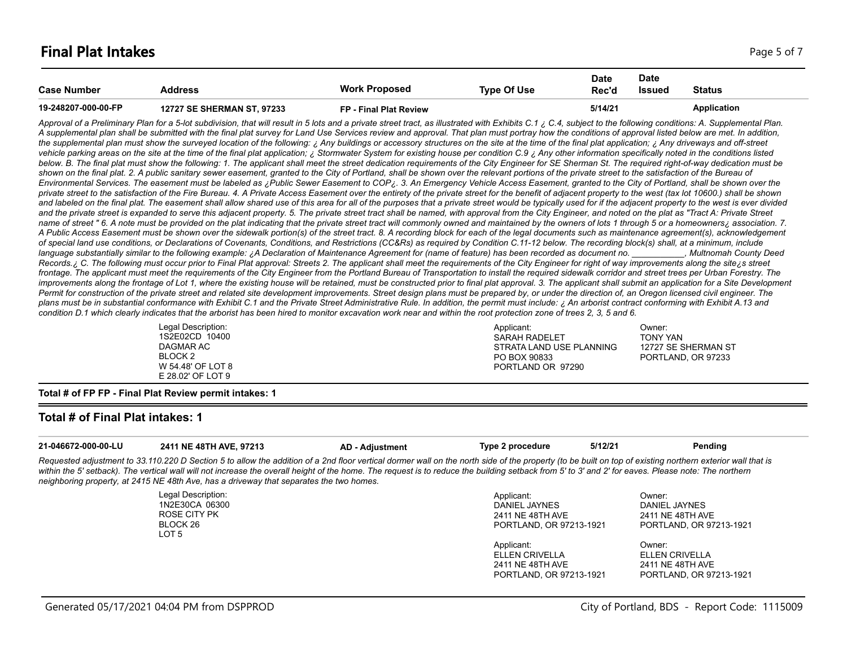| <b>Case Number</b>  | Address                           | <b>Work Proposed</b>   | Type Of Use | <b>Date</b><br>Rec'd | Date<br>Issued | <b>Status</b> |
|---------------------|-----------------------------------|------------------------|-------------|----------------------|----------------|---------------|
| 19-248207-000-00-FP | <b>12727 SE SHERMAN ST, 97233</b> | FP - Final Plat Review |             | 5/14/21              |                | Application   |

Approval of a Preliminary Plan for a 5-lot subdivision, that will result in 5 lots and a private street tract, as illustrated with Exhibits C.1 ¿ C.4, subject to the following conditions: A. Supplemental Plan. *A supplemental plan shall be submitted with the final plat survey for Land Use Services review and approval. That plan must portray how the conditions of approval listed below are met. In addition,*  the supplemental plan must show the surveyed location of the following: ¿ Any buildings or accessory structures on the site at the time of the final plat application; ¿ Any driveways and off-street vehicle parking areas on the site at the time of the final plat application; ¿ Stormwater System for existing house per condition C.9 ¿ Any other information specifically noted in the conditions listed below. B. The final plat must show the following: 1. The applicant shall meet the street dedication requirements of the City Engineer for SE Sherman St. The required right-of-way dedication must be shown on the final plat. 2. A public sanitary sewer easement, granted to the City of Portland, shall be shown over the relevant portions of the private street to the satisfaction of the Bureau of *Environmental Services. The easement must be labeled as ¿Public Sewer Easement to COP¿. 3. An Emergency Vehicle Access Easement, granted to the City of Portland, shall be shown over the private street to the satisfaction of the Fire Bureau. 4. A Private Access Easement over the entirety of the private street for the benefit of adjacent property to the west (tax lot 10600.) shall be shown*  and labeled on the final plat. The easement shall allow shared use of this area for all of the purposes that a private street would be typically used for if the adjacent property to the west is ever divided and the private street is expanded to serve this adjacent property. 5. The private street tract shall be named, with approval from the City Engineer, and noted on the plat as "Tract A: Private Street name of street " 6. A note must be provided on the plat indicating that the private street tract will commonly owned and maintained by the owners of lots 1 through 5 or a homeowners; association. 7. *A Public Access Easement must be shown over the sidewalk portion(s) of the street tract. 8. A recording block for each of the legal documents such as maintenance agreement(s), acknowledgement of special land use conditions, or Declarations of Covenants, Conditions, and Restrictions (CC&Rs) as required by Condition C.11-12 below. The recording block(s) shall, at a minimum, include*  language substantially similar to the following example: ¿A Declaration of Maintenance Agreement for (name of feature) has been recorded as document no. \_\_\_\_\_\_\_\_, Multnomah County Deed Records. ¿ C. The following must occur prior to Final Plat approval: Streets 2. The applicant shall meet the requirements of the City Engineer for right of way improvements along the site<sub>i</sub>s street frontage. The applicant must meet the requirements of the City Engineer from the Portland Bureau of Transportation to install the required sidewalk corridor and street trees per Urban Forestry. The improvements along the frontage of Lot 1, where the existing house will be retained, must be constructed prior to final plat approval. 3. The applicant shall submit an application for a Site Development Permit for construction of the private street and related site development improvements. Street design plans must be prepared by, or under the direction of, an Oregon licensed civil engineer. The *plans must be in substantial conformance with Exhibit C.1 and the Private Street Administrative Rule. In addition, the permit must include: ¿ An arborist contract conforming with Exhibit A.13 and condition D.1 which clearly indicates that the arborist has been hired to monitor excavation work near and within the root protection zone of trees 2, 3, 5 and 6.*

| Legal Description: | Applicant:               | ⊃wner:              |
|--------------------|--------------------------|---------------------|
| 1S2E02CD 10400     | SARAH RADELET            | <b>TONY YAN</b>     |
| DAGMAR AC          | STRATA LAND USE PLANNING | 12727 SE SHERMAN ST |
| BLOCK 2            | PO BOX 90833             | PORTLAND, OR 97233  |
| W 54.48' OF LOT 8  | PORTLAND OR 97290        |                     |
| E 28.02' OF LOT 9  |                          |                     |

**Total # of FP FP - Final Plat Review permit intakes: 1**

#### **Total # of Final Plat intakes: 1**

| 21-046672-000-00-LU | 2411 NE 48TH AVE, 97213                                                                                                                                                                                                                                                                                                                                                                                                                                                                                     | <b>AD - Adjustment</b> | Type 2 procedure                                                           | 5/12/21 | Pending                                                                |
|---------------------|-------------------------------------------------------------------------------------------------------------------------------------------------------------------------------------------------------------------------------------------------------------------------------------------------------------------------------------------------------------------------------------------------------------------------------------------------------------------------------------------------------------|------------------------|----------------------------------------------------------------------------|---------|------------------------------------------------------------------------|
|                     | Requested adjustment to 33.110.220 D Section 5 to allow the addition of a 2nd floor vertical dormer wall on the north side of the property (to be built on top of existing northern exterior wall that is<br>within the 5' setback). The vertical wall will not increase the overall height of the home. The request is to reduce the building setback from 5' to 3' and 2' for eaves. Please note: The northern<br>neighboring property, at 2415 NE 48th Ave, has a driveway that separates the two homes. |                        |                                                                            |         |                                                                        |
|                     | Legal Description:<br>1N2E30CA 06300<br>ROSE CITY PK<br>BLOCK 26<br>LOT 5                                                                                                                                                                                                                                                                                                                                                                                                                                   |                        | Applicant:<br>DANIEL JAYNES<br>2411 NE 48TH AVE<br>PORTLAND, OR 97213-1921 |         | Owner:<br>DANIEL JAYNES<br>2411 NE 48TH AVE<br>PORTLAND, OR 97213-1921 |
|                     |                                                                                                                                                                                                                                                                                                                                                                                                                                                                                                             |                        | Applicant:                                                                 |         | Owner:                                                                 |

ELLEN CRIVELLA 2411 NE 48TH AVE PORTLAND, OR 97213-1921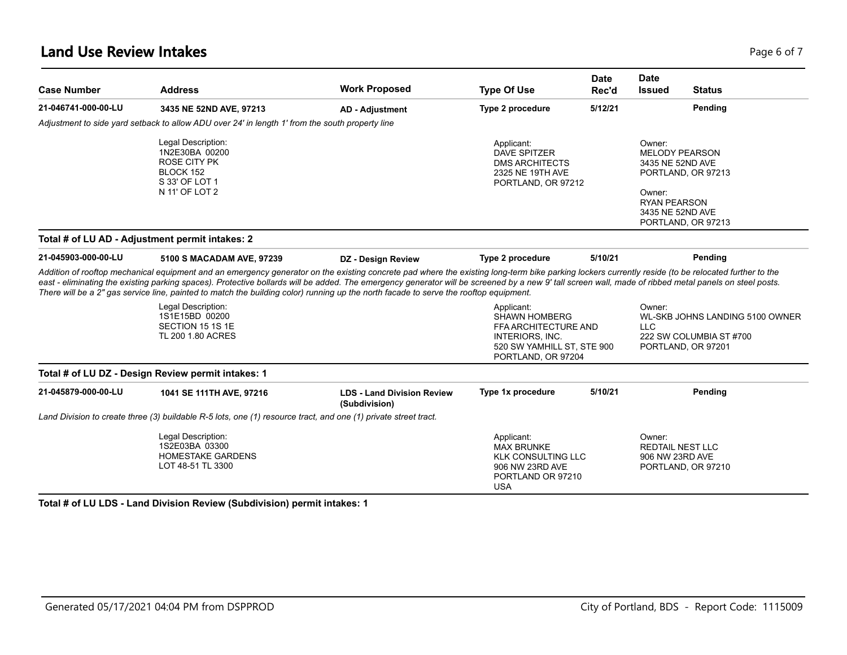| <b>Case Number</b>  | <b>Address</b>                                                                                                                                                                                                                                                                                                                                                                                                                                                                                                                                                                                                     | <b>Work Proposed</b>                               | <b>Type Of Use</b>                                                                                                 | <b>Date</b><br>Rec'd | <b>Date</b><br><b>Issued</b>                                                                             | <b>Status</b>                                 |
|---------------------|--------------------------------------------------------------------------------------------------------------------------------------------------------------------------------------------------------------------------------------------------------------------------------------------------------------------------------------------------------------------------------------------------------------------------------------------------------------------------------------------------------------------------------------------------------------------------------------------------------------------|----------------------------------------------------|--------------------------------------------------------------------------------------------------------------------|----------------------|----------------------------------------------------------------------------------------------------------|-----------------------------------------------|
| 21-046741-000-00-LU | 3435 NE 52ND AVE, 97213                                                                                                                                                                                                                                                                                                                                                                                                                                                                                                                                                                                            | <b>AD - Adjustment</b>                             | Type 2 procedure                                                                                                   | 5/12/21              |                                                                                                          | Pending                                       |
|                     | Adjustment to side yard setback to allow ADU over 24' in length 1' from the south property line                                                                                                                                                                                                                                                                                                                                                                                                                                                                                                                    |                                                    |                                                                                                                    |                      |                                                                                                          |                                               |
|                     | Legal Description:<br>1N2E30BA 00200<br><b>ROSE CITY PK</b><br>BLOCK 152<br>S 33' OF LOT 1<br>N 11' OF LOT 2                                                                                                                                                                                                                                                                                                                                                                                                                                                                                                       |                                                    | Applicant:<br><b>DAVE SPITZER</b><br><b>DMS ARCHITECTS</b><br>2325 NE 19TH AVE<br>PORTLAND, OR 97212               |                      | Owner:<br><b>MELODY PEARSON</b><br>3435 NE 52ND AVE<br>Owner:<br><b>RYAN PEARSON</b><br>3435 NE 52ND AVE | PORTLAND, OR 97213<br>PORTLAND, OR 97213      |
|                     | Total # of LU AD - Adjustment permit intakes: 2                                                                                                                                                                                                                                                                                                                                                                                                                                                                                                                                                                    |                                                    |                                                                                                                    |                      |                                                                                                          |                                               |
| 21-045903-000-00-LU | 5100 S MACADAM AVE, 97239                                                                                                                                                                                                                                                                                                                                                                                                                                                                                                                                                                                          | DZ - Design Review                                 | Type 2 procedure                                                                                                   | 5/10/21              |                                                                                                          | Pending                                       |
|                     | Addition of rooftop mechanical equipment and an emergency generator on the existing concrete pad where the existing long-term bike parking lockers currently reside (to be relocated further to the<br>east - eliminating the existing parking spaces). Protective bollards will be added. The emergency generator will be screened by a new 9' tall screen wall, made of ribbed metal panels on steel posts.<br>There will be a 2" gas service line, painted to match the building color) running up the north facade to serve the rooftop equipment.<br>Legal Description:<br>1S1E15BD 00200<br>SECTION 15 1S 1E |                                                    | Applicant:<br><b>SHAWN HOMBERG</b><br>FFA ARCHITECTURE AND                                                         |                      | Owner:<br><b>LLC</b>                                                                                     | WL-SKB JOHNS LANDING 5100 OWNER               |
|                     | TL 200 1.80 ACRES                                                                                                                                                                                                                                                                                                                                                                                                                                                                                                                                                                                                  |                                                    | INTERIORS, INC.<br>520 SW YAMHILL ST, STE 900<br>PORTLAND, OR 97204                                                |                      |                                                                                                          | 222 SW COLUMBIA ST #700<br>PORTLAND, OR 97201 |
|                     | Total # of LU DZ - Design Review permit intakes: 1                                                                                                                                                                                                                                                                                                                                                                                                                                                                                                                                                                 |                                                    |                                                                                                                    |                      |                                                                                                          |                                               |
| 21-045879-000-00-LU | 1041 SE 111TH AVE, 97216                                                                                                                                                                                                                                                                                                                                                                                                                                                                                                                                                                                           | <b>LDS - Land Division Review</b><br>(Subdivision) | Type 1x procedure                                                                                                  | 5/10/21              |                                                                                                          | Pending                                       |
|                     | Land Division to create three (3) buildable R-5 lots, one (1) resource tract, and one (1) private street tract.                                                                                                                                                                                                                                                                                                                                                                                                                                                                                                    |                                                    |                                                                                                                    |                      |                                                                                                          |                                               |
|                     | Legal Description:<br>1S2E03BA 03300<br><b>HOMESTAKE GARDENS</b><br>LOT 48-51 TL 3300                                                                                                                                                                                                                                                                                                                                                                                                                                                                                                                              |                                                    | Applicant:<br><b>MAX BRUNKE</b><br><b>KLK CONSULTING LLC</b><br>906 NW 23RD AVE<br>PORTLAND OR 97210<br><b>USA</b> |                      | Owner:<br><b>REDTAIL NEST LLC</b><br>906 NW 23RD AVE                                                     | PORTLAND, OR 97210                            |

**Total # of LU LDS - Land Division Review (Subdivision) permit intakes: 1**